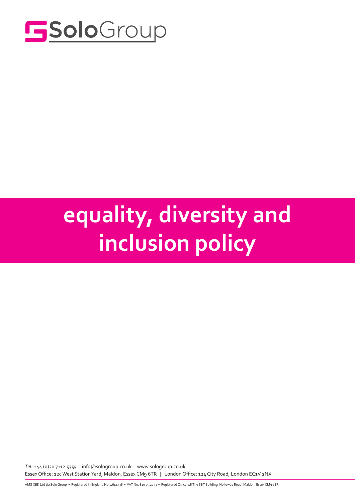

# Solo equality, diversity and inclusion policy

*Tel:* +44 (0)20 7112 5355 info@sologroup.co.uk www.sologroup.co.uk Essex Office: 12c West Station Yard, Maldon, Essex CM9 6TR | London Office: 124 City Road, London EC1V 2NX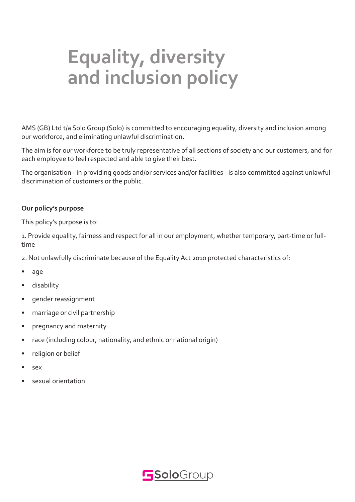# **Equality, diversity and inclusion policy**

AMS (GB) Ltd t/a Solo Group (Solo) is committed to encouraging equality, diversity and inclusion among our workforce, and eliminating unlawful discrimination.

The aim is for our workforce to be truly representative of all sections of society and our customers, and for each employee to feel respected and able to give their best.

The organisation - in providing goods and/or services and/or facilities - is also committed against unlawful discrimination of customers or the public.

### **Our policy's purpose**

This policy's purpose is to:

1. Provide equality, fairness and respect for all in our employment, whether temporary, part-time or fulltime

2. Not unlawfully discriminate because of the Equality Act 2010 protected characteristics of:

- age
- disability
- gender reassignment
- marriage or civil partnership
- pregnancy and maternity
- race (including colour, nationality, and ethnic or national origin)
- religion or belief
- sex
- sexual orientation

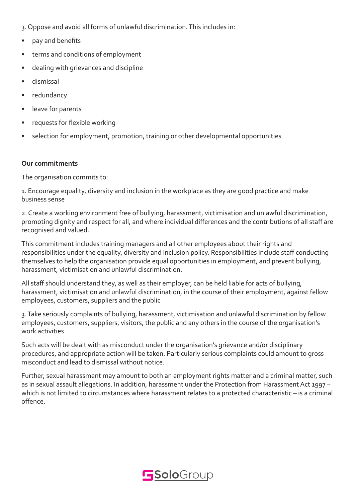- 3. Oppose and avoid all forms of unlawful discrimination. This includes in:
- pay and benefits
- terms and conditions of employment
- dealing with grievances and discipline
- dismissal
- redundancy
- leave for parents
- requests for flexible working
- selection for employment, promotion, training or other developmental opportunities

#### **Our commitments**

The organisation commits to:

1. Encourage equality, diversity and inclusion in the workplace as they are good practice and make business sense

2. Create a working environment free of bullying, harassment, victimisation and unlawful discrimination, promoting dignity and respect for all, and where individual differences and the contributions of all staff are recognised and valued.

This commitment includes training managers and all other employees about their rights and responsibilities under the equality, diversity and inclusion policy. Responsibilities include staff conducting themselves to help the organisation provide equal opportunities in employment, and prevent bullying, harassment, victimisation and unlawful discrimination.

All staff should understand they, as well as their employer, can be held liable for acts of bullying, harassment, victimisation and unlawful discrimination, in the course of their employment, against fellow employees, customers, suppliers and the public

3. Take seriously complaints of bullying, harassment, victimisation and unlawful discrimination by fellow employees, customers, suppliers, visitors, the public and any others in the course of the organisation's work activities.

Such acts will be dealt with as misconduct under the organisation's grievance and/or disciplinary procedures, and appropriate action will be taken. Particularly serious complaints could amount to gross misconduct and lead to dismissal without notice.

Further, sexual harassment may amount to both an employment rights matter and a criminal matter, such as in sexual assault allegations. In addition, harassment under the Protection from Harassment Act 1997 – which is not limited to circumstances where harassment relates to a protected characteristic – is a criminal offence.